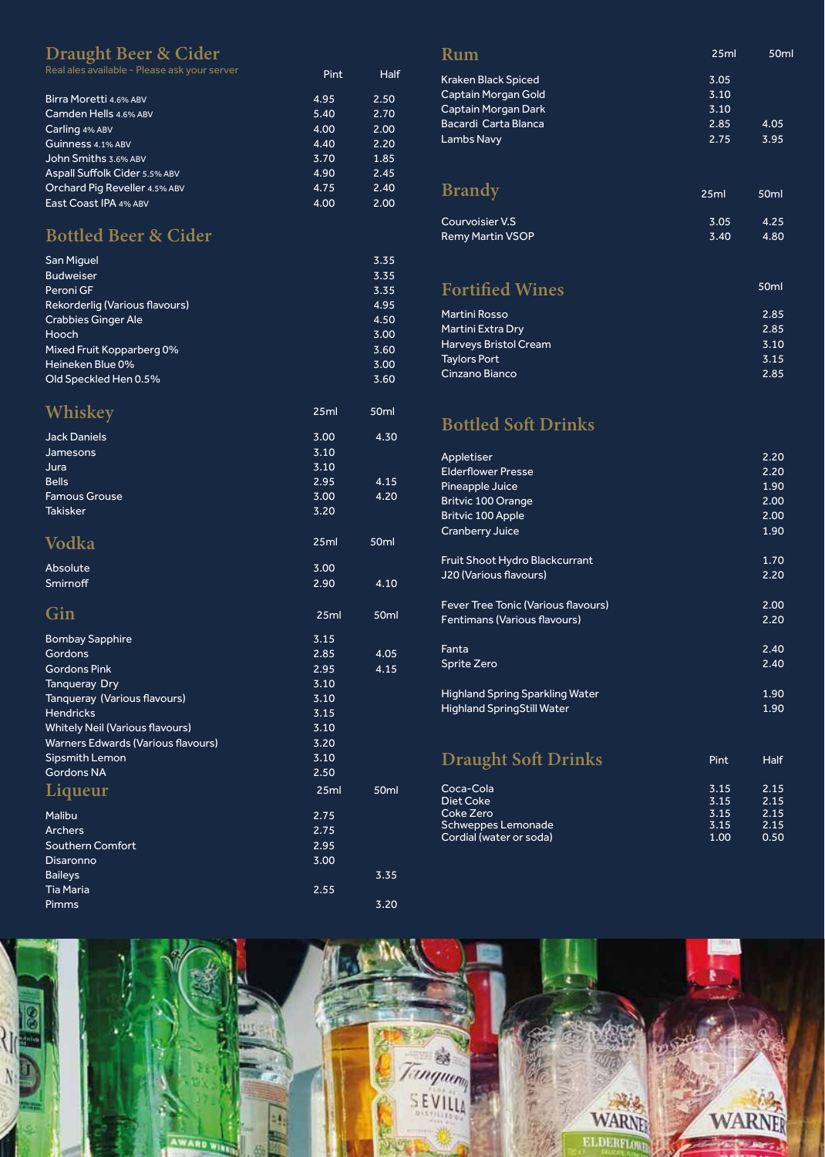## Draught Beer & Cider

| Real ales available - Please ask your server | Pint | <b>Half</b> |
|----------------------------------------------|------|-------------|
| Birra Moretti 4.6% ABV                       | 4.95 | 2.50        |
| Camden Hells 4.6% ABV                        | 5.40 | 2.70        |
| Carling 4% ABV                               | 4.00 | 2.00        |
| Guinness 4.1% ABV                            | 4.40 | 2.20        |
| John Smiths 3.6% ABV                         | 3.70 | 1.85        |
| Aspall Suffolk Cider 5.5% ABV                | 4.90 | 2.45        |
| Orchard Pig Reveller 4.5% ABV                | 4.75 | 2.40        |
| East Coast IPA 4% ABV                        | 4.00 | 2.00        |

## **Bottled Beer & Cider**

| <b>San Miguel</b>              | 3.35 |
|--------------------------------|------|
| <b>Budweiser</b>               | 3.35 |
| Peroni GF                      | 3.35 |
| Rekorderlig (Various flavours) | 4.95 |
| <b>Crabbies Ginger Ale</b>     | 4.50 |
| Hooch                          | 3.00 |
| Mixed Fruit Kopparberg 0%      | 3.60 |
| Heineken Blue 0%               | 3.00 |
| Old Speckled Hen 0.5%          | 3.60 |

| Whiskey                                   | 25ml | 50 <sub>ml</sub> |
|-------------------------------------------|------|------------------|
| <b>Jack Daniels</b>                       | 3.00 | 4.30             |
| Jamesons                                  | 3.10 |                  |
| Jura                                      | 3.10 |                  |
| <b>Bells</b>                              | 2.95 | 4.15             |
| <b>Famous Grouse</b>                      | 3.00 | 4.20             |
| <b>Takisker</b>                           | 3.20 |                  |
| Vodka                                     | 25ml | 50ml             |
| Absolute                                  | 3.00 |                  |
| Smirnoff                                  | 2.90 | 4.10             |
| Gin                                       | 25ml | 50ml             |
| <b>Bombay Sapphire</b>                    | 3.15 |                  |
| Gordons                                   | 2.85 | 4.05             |
| <b>Gordons Pink</b>                       | 2.95 | 4.15             |
| <b>Tanqueray Dry</b>                      | 3.10 |                  |
| Tanqueray (Various flavours)              | 3.10 |                  |
| <b>Hendricks</b>                          | 3.15 |                  |
| <b>Whitely Neil (Various flavours)</b>    | 3.10 |                  |
| <b>Warners Edwards (Various flavours)</b> | 3.20 |                  |
| Sipsmith Lemon                            | 3.10 |                  |
| <b>Gordons NA</b>                         | 2.50 |                  |
| <b>Liqueur</b>                            | 25ml | 50 <sub>ml</sub> |
| Malibu                                    | 2.75 |                  |
| <b>Archers</b>                            | 2.75 |                  |
| Southern Comfort                          | 2.95 |                  |
| Disaronno                                 | 3.00 |                  |
| <b>Baileys</b>                            |      | 3.35             |
| <b>Tia Maria</b>                          | 2.55 |                  |
| Pimms                                     |      | 3.20             |

### Rum Kraken Black Spiced<br>Captain Morgan Gold 3.05<br>3.10 Captain Morgan Gold 3.10 Captain Morgan Dark 3.10 Bacardi Carta Blanca 2.85 4.05 Lambs Navy 25ml 50ml **Brandy** 25ml 50ml

| Courvoisier V.S         | 3.05 | 4.25 |
|-------------------------|------|------|
| <b>Remy Martin VSOP</b> | 3.40 | 4.80 |

#### **Fortified Wines** Martini Rosso 2.85 50ml

| <b>Tial UITH NUSSU</b> | <b>4.03</b> |
|------------------------|-------------|
| Martini Extra Dry      | 2.85        |
| Harveys Bristol Cream  | 3.10        |
| <b>Taylors Port</b>    | 3.15        |
| Cinzano Bianco         | 2.85        |
|                        |             |

## **Bottled Soft Drinks**

| Appletiser                                 |      | 2.20 |
|--------------------------------------------|------|------|
| <b>Elderflower Presse</b>                  |      | 2.20 |
| Pineapple Juice                            |      | 1.90 |
| <b>Britvic 100 Orange</b>                  |      | 2.00 |
| <b>Britvic 100 Apple</b>                   |      | 2.00 |
|                                            |      | 1.90 |
| Cranberry Juice                            |      |      |
| <b>Fruit Shoot Hydro Blackcurrant</b>      |      | 1.70 |
| <b>J20 (Various flavours)</b>              |      | 2.20 |
|                                            |      |      |
| <b>Fever Tree Tonic (Various flavours)</b> |      | 2.00 |
| <b>Fentimans (Various flavours)</b>        |      | 2.20 |
|                                            |      |      |
| Fanta                                      |      | 2.40 |
| Sprite Zero                                |      | 2.40 |
|                                            |      |      |
| <b>Highland Spring Sparkling Water</b>     |      | 1.90 |
| <b>Highland SpringStill Water</b>          |      | 1.90 |
|                                            |      |      |
|                                            |      |      |
| <b>Draught Soft Drinks</b>                 | Pint | Half |
|                                            |      |      |
| Coca-Cola                                  | 3.15 | 2.15 |
| <b>Diet Coke</b>                           | 3.15 | 2.15 |
| Coke Zero                                  | 3.15 | 2.15 |
| <b>Schweppes Lemonade</b>                  | 3.15 | 2.15 |
| Cordial (water or soda)                    | 1.00 | 0.50 |
|                                            |      |      |